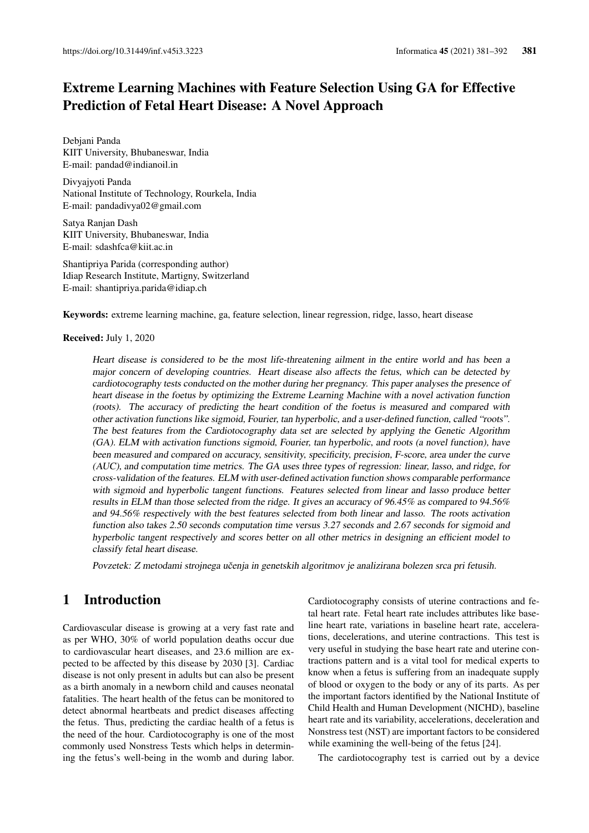# Extreme Learning Machines with Feature Selection Using GA for Effective Prediction of Fetal Heart Disease: A Novel Approach

Debjani Panda KIIT University, Bhubaneswar, India E-mail: pandad@indianoil.in

Divyajyoti Panda National Institute of Technology, Rourkela, India E-mail: pandadivya02@gmail.com

Satya Ranjan Dash KIIT University, Bhubaneswar, India E-mail: sdashfca@kiit.ac.in

Shantipriya Parida (corresponding author) Idiap Research Institute, Martigny, Switzerland E-mail: shantipriya.parida@idiap.ch

Keywords: extreme learning machine, ga, feature selection, linear regression, ridge, lasso, heart disease

#### Received: July 1, 2020

Heart disease is considered to be the most life-threatening ailment in the entire world and has been a major concern of developing countries. Heart disease also affects the fetus, which can be detected by cardiotocography tests conducted on the mother during her pregnancy. This paper analyses the presence of heart disease in the foetus by optimizing the Extreme Learning Machine with a novel activation function (roots). The accuracy of predicting the heart condition of the foetus is measured and compared with other activation functions like sigmoid, Fourier, tan hyperbolic, and a user-defined function, called "roots". The best features from the Cardiotocography data set are selected by applying the Genetic Algorithm (GA). ELM with activation functions sigmoid, Fourier, tan hyperbolic, and roots (a novel function), have been measured and compared on accuracy, sensitivity, specificity, precision, F-score, area under the curve (AUC), and computation time metrics. The GA uses three types of regression: linear, lasso, and ridge, for cross-validation of the features. ELM with user-defined activation function shows comparable performance with sigmoid and hyperbolic tangent functions. Features selected from linear and lasso produce better results in ELM than those selected from the ridge. It gives an accuracy of 96.45% as compared to 94.56% and 94.56% respectively with the best features selected from both linear and lasso. The roots activation function also takes 2.50 seconds computation time versus 3.27 seconds and 2.67 seconds for sigmoid and hyperbolic tangent respectively and scores better on all other metrics in designing an efficient model to classify fetal heart disease.

Povzetek: Z metodami strojnega učenja in genetskih algoritmov je analizirana bolezen srca pri fetusih.

# 1 Introduction

Cardiovascular disease is growing at a very fast rate and as per WHO, 30% of world population deaths occur due to cardiovascular heart diseases, and 23.6 million are expected to be affected by this disease by 2030 [3]. Cardiac disease is not only present in adults but can also be present as a birth anomaly in a newborn child and causes neonatal fatalities. The heart health of the fetus can be monitored to detect abnormal heartbeats and predict diseases affecting the fetus. Thus, predicting the cardiac health of a fetus is the need of the hour. Cardiotocography is one of the most commonly used Nonstress Tests which helps in determining the fetus's well-being in the womb and during labor. Cardiotocography consists of uterine contractions and fetal heart rate. Fetal heart rate includes attributes like baseline heart rate, variations in baseline heart rate, accelerations, decelerations, and uterine contractions. This test is very useful in studying the base heart rate and uterine contractions pattern and is a vital tool for medical experts to know when a fetus is suffering from an inadequate supply of blood or oxygen to the body or any of its parts. As per the important factors identified by the National Institute of Child Health and Human Development (NICHD), baseline heart rate and its variability, accelerations, deceleration and Nonstress test (NST) are important factors to be considered while examining the well-being of the fetus [24].

The cardiotocography test is carried out by a device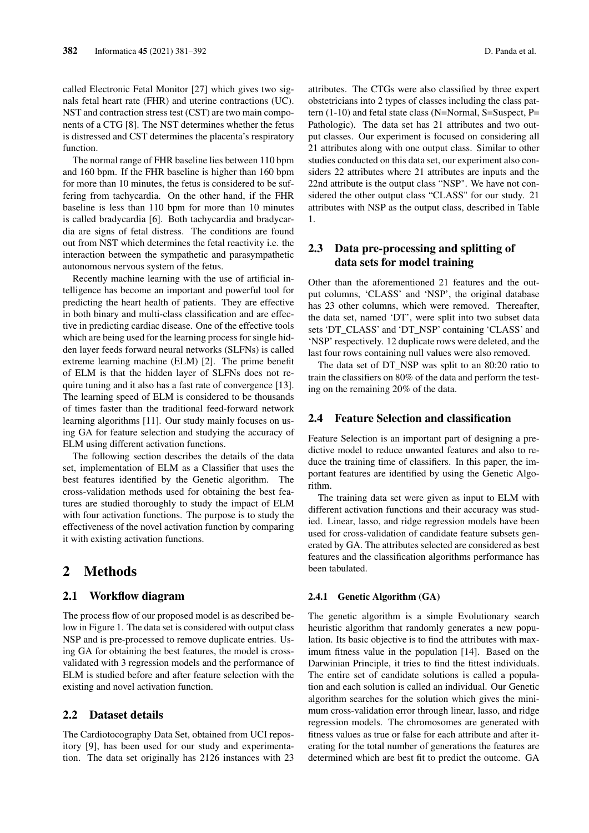called Electronic Fetal Monitor [27] which gives two signals fetal heart rate (FHR) and uterine contractions (UC). NST and contraction stress test (CST) are two main components of a CTG [8]. The NST determines whether the fetus is distressed and CST determines the placenta's respiratory function.

The normal range of FHR baseline lies between 110 bpm and 160 bpm. If the FHR baseline is higher than 160 bpm for more than 10 minutes, the fetus is considered to be suffering from tachycardia. On the other hand, if the FHR baseline is less than 110 bpm for more than 10 minutes is called bradycardia [6]. Both tachycardia and bradycardia are signs of fetal distress. The conditions are found out from NST which determines the fetal reactivity i.e. the interaction between the sympathetic and parasympathetic autonomous nervous system of the fetus.

Recently machine learning with the use of artificial intelligence has become an important and powerful tool for predicting the heart health of patients. They are effective in both binary and multi-class classification and are effective in predicting cardiac disease. One of the effective tools which are being used for the learning process for single hidden layer feeds forward neural networks (SLFNs) is called extreme learning machine (ELM) [2]. The prime benefit of ELM is that the hidden layer of SLFNs does not require tuning and it also has a fast rate of convergence [13]. The learning speed of ELM is considered to be thousands of times faster than the traditional feed-forward network learning algorithms [11]. Our study mainly focuses on using GA for feature selection and studying the accuracy of ELM using different activation functions.

The following section describes the details of the data set, implementation of ELM as a Classifier that uses the best features identified by the Genetic algorithm. The cross-validation methods used for obtaining the best features are studied thoroughly to study the impact of ELM with four activation functions. The purpose is to study the effectiveness of the novel activation function by comparing it with existing activation functions.

### 2 Methods

#### 2.1 Workflow diagram

The process flow of our proposed model is as described below in Figure 1. The data set is considered with output class NSP and is pre-processed to remove duplicate entries. Using GA for obtaining the best features, the model is crossvalidated with 3 regression models and the performance of ELM is studied before and after feature selection with the existing and novel activation function.

### 2.2 Dataset details

The Cardiotocography Data Set, obtained from UCI repository [9], has been used for our study and experimentation. The data set originally has 2126 instances with 23 attributes. The CTGs were also classified by three expert obstetricians into 2 types of classes including the class pattern (1-10) and fetal state class (N=Normal, S=Suspect, P= Pathologic). The data set has 21 attributes and two output classes. Our experiment is focused on considering all 21 attributes along with one output class. Similar to other studies conducted on this data set, our experiment also considers 22 attributes where 21 attributes are inputs and the 22nd attribute is the output class "NSP". We have not considered the other output class "CLASS" for our study. 21 attributes with NSP as the output class, described in Table 1.

### 2.3 Data pre-processing and splitting of data sets for model training

Other than the aforementioned 21 features and the output columns, 'CLASS' and 'NSP', the original database has 23 other columns, which were removed. Thereafter, the data set, named 'DT', were split into two subset data sets 'DT\_CLASS' and 'DT\_NSP' containing 'CLASS' and 'NSP' respectively. 12 duplicate rows were deleted, and the last four rows containing null values were also removed.

The data set of DT\_NSP was split to an 80:20 ratio to train the classifiers on 80% of the data and perform the testing on the remaining 20% of the data.

#### 2.4 Feature Selection and classification

Feature Selection is an important part of designing a predictive model to reduce unwanted features and also to reduce the training time of classifiers. In this paper, the important features are identified by using the Genetic Algorithm.

The training data set were given as input to ELM with different activation functions and their accuracy was studied. Linear, lasso, and ridge regression models have been used for cross-validation of candidate feature subsets generated by GA. The attributes selected are considered as best features and the classification algorithms performance has been tabulated.

#### 2.4.1 Genetic Algorithm (GA)

The genetic algorithm is a simple Evolutionary search heuristic algorithm that randomly generates a new population. Its basic objective is to find the attributes with maximum fitness value in the population [14]. Based on the Darwinian Principle, it tries to find the fittest individuals. The entire set of candidate solutions is called a population and each solution is called an individual. Our Genetic algorithm searches for the solution which gives the minimum cross-validation error through linear, lasso, and ridge regression models. The chromosomes are generated with fitness values as true or false for each attribute and after iterating for the total number of generations the features are determined which are best fit to predict the outcome. GA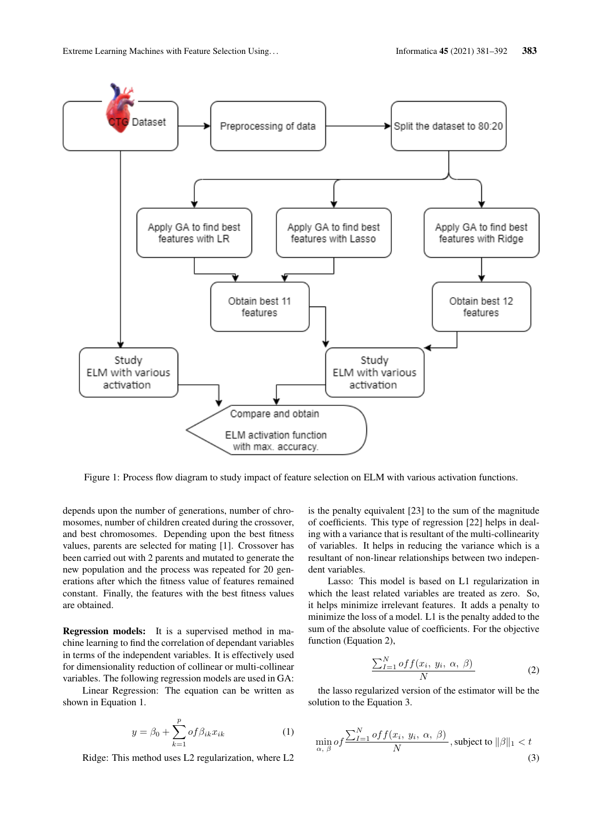

Figure 1: Process flow diagram to study impact of feature selection on ELM with various activation functions.

depends upon the number of generations, number of chromosomes, number of children created during the crossover, and best chromosomes. Depending upon the best fitness values, parents are selected for mating [1]. Crossover has been carried out with 2 parents and mutated to generate the new population and the process was repeated for 20 generations after which the fitness value of features remained constant. Finally, the features with the best fitness values are obtained.

Regression models: It is a supervised method in machine learning to find the correlation of dependant variables in terms of the independent variables. It is effectively used for dimensionality reduction of collinear or multi-collinear variables. The following regression models are used in GA:

Linear Regression: The equation can be written as shown in Equation 1.

$$
y = \beta_0 + \sum_{k=1}^{p} of \beta_{ik} x_{ik}
$$
 (1)

Ridge: This method uses L2 regularization, where L2

is the penalty equivalent [23] to the sum of the magnitude of coefficients. This type of regression [22] helps in dealing with a variance that is resultant of the multi-collinearity of variables. It helps in reducing the variance which is a resultant of non-linear relationships between two independent variables.

Lasso: This model is based on L1 regularization in which the least related variables are treated as zero. So, it helps minimize irrelevant features. It adds a penalty to minimize the loss of a model. L1 is the penalty added to the sum of the absolute value of coefficients. For the objective function (Equation 2),

$$
\frac{\sum_{I=1}^{N} of f(x_i, y_i, \alpha, \beta)}{N}
$$
 (2)

the lasso regularized version of the estimator will be the solution to the Equation 3.

$$
\min_{\alpha, \beta} of \frac{\sum_{I=1}^{N} off(x_i, y_i, \alpha, \beta)}{N}, \text{subject to } ||\beta||_1 < t \tag{3}
$$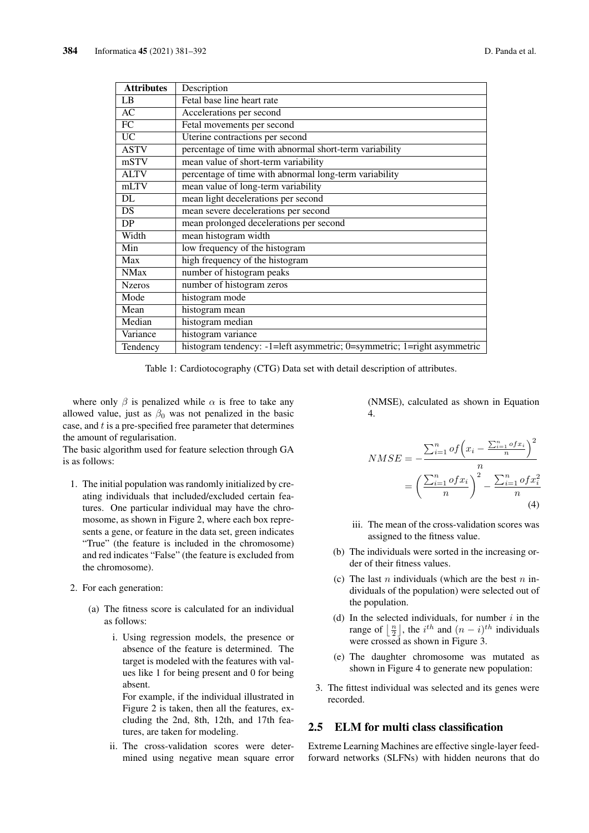| <b>Attributes</b> | Description                                                             |
|-------------------|-------------------------------------------------------------------------|
| LB                | Fetal base line heart rate                                              |
| AC                | Accelerations per second                                                |
| $\overline{FC}$   | Fetal movements per second                                              |
| <b>UC</b>         | Uterine contractions per second                                         |
| <b>ASTV</b>       | percentage of time with abnormal short-term variability                 |
| mSTV              | mean value of short-term variability                                    |
| <b>ALTV</b>       | percentage of time with abnormal long-term variability                  |
| mLTV              | mean value of long-term variability                                     |
| DL                | mean light decelerations per second                                     |
| DS                | mean severe decelerations per second                                    |
| DP                | mean prolonged decelerations per second                                 |
| Width             | mean histogram width                                                    |
| Min               | low frequency of the histogram                                          |
| Max               | high frequency of the histogram                                         |
| <b>NMax</b>       | number of histogram peaks                                               |
| <b>Nzeros</b>     | number of histogram zeros                                               |
| Mode              | histogram mode                                                          |
| Mean              | histogram mean                                                          |
| Median            | histogram median                                                        |
| Variance          | histogram variance                                                      |
| Tendency          | histogram tendency: -1=left asymmetric; 0=symmetric; 1=right asymmetric |

Table 1: Cardiotocography (CTG) Data set with detail description of attributes.

where only  $\beta$  is penalized while  $\alpha$  is free to take any allowed value, just as  $\beta_0$  was not penalized in the basic case, and  $t$  is a pre-specified free parameter that determines the amount of regularisation.

The basic algorithm used for feature selection through GA is as follows:

- 1. The initial population was randomly initialized by creating individuals that included/excluded certain features. One particular individual may have the chromosome, as shown in Figure 2, where each box represents a gene, or feature in the data set, green indicates "True" (the feature is included in the chromosome) and red indicates "False" (the feature is excluded from the chromosome).
- 2. For each generation:
	- (a) The fitness score is calculated for an individual as follows:
		- i. Using regression models, the presence or absence of the feature is determined. The target is modeled with the features with values like 1 for being present and 0 for being absent.

For example, if the individual illustrated in Figure 2 is taken, then all the features, excluding the 2nd, 8th, 12th, and 17th features, are taken for modeling.

ii. The cross-validation scores were determined using negative mean square error (NMSE), calculated as shown in Equation 4.

$$
NMSE = -\frac{\sum_{i=1}^{n} of \left(x_i - \frac{\sum_{i=1}^{n} of x_i}{n}\right)^2}{n}
$$

$$
= \left(\frac{\sum_{i=1}^{n} of x_i}{n}\right)^2 - \frac{\sum_{i=1}^{n} of x_i^2}{n}
$$
(4)

- iii. The mean of the cross-validation scores was assigned to the fitness value.
- (b) The individuals were sorted in the increasing order of their fitness values.
- (c) The last  $n$  individuals (which are the best  $n$  individuals of the population) were selected out of the population.
- (d) In the selected individuals, for number  $i$  in the range of  $\left\lfloor \frac{n}{2} \right\rfloor$ , the *i*<sup>th</sup> and  $(n - i)^{th}$  individuals were crossed as shown in Figure 3.
- (e) The daughter chromosome was mutated as shown in Figure 4 to generate new population:
- 3. The fittest individual was selected and its genes were recorded.

### 2.5 ELM for multi class classification

Extreme Learning Machines are effective single-layer feedforward networks (SLFNs) with hidden neurons that do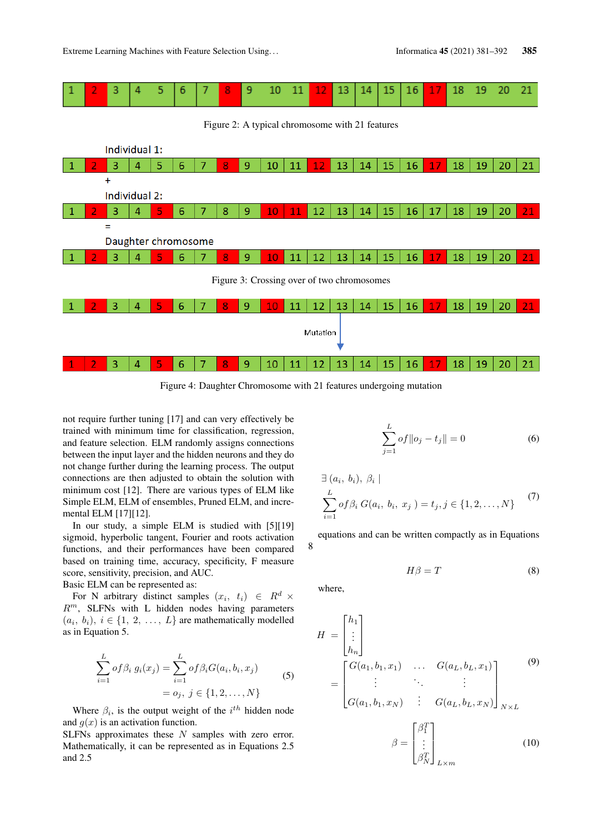

Figure 4: Daughter Chromosome with 21 features undergoing mutation

not require further tuning [17] and can very effectively be trained with minimum time for classification, regression, and feature selection. ELM randomly assigns connections between the input layer and the hidden neurons and they do not change further during the learning process. The output connections are then adjusted to obtain the solution with minimum cost [12]. There are various types of ELM like Simple ELM, ELM of ensembles, Pruned ELM, and incremental ELM [17][12].

In our study, a simple ELM is studied with [5][19] sigmoid, hyperbolic tangent, Fourier and roots activation functions, and their performances have been compared based on training time, accuracy, specificity, F measure score, sensitivity, precision, and AUC. Basic ELM can be represented as:

For N arbitrary distinct samples  $(x_i, t_i) \in R^d \times$ 

 $R^m$ , SLFNs with L hidden nodes having parameters  $(a_i, b_i), i \in \{1, 2, ..., L\}$  are mathematically modelled as in Equation 5.

$$
\sum_{i=1}^{L} of \beta_i g_i(x_j) = \sum_{i=1}^{L} of \beta_i G(a_i, b_i, x_j)
$$
  
=  $o_j, j \in \{1, 2, ..., N\}$  (5)

Where  $\beta_i$ , is the output weight of the  $i^{th}$  hidden node and  $q(x)$  is an activation function.

SLFNs approximates these  $N$  samples with zero error. Mathematically, it can be represented as in Equations 2.5 and 2.5

$$
\sum_{j=1}^{L} of ||o_j - t_j|| = 0
$$
 (6)

$$
\exists (a_i, b_i), \beta_i |
$$
  
\n
$$
\sum_{i=1}^{L} of \beta_i G(a_i, b_i, x_j) = t_j, j \in \{1, 2, ..., N\}
$$
 (7)

equations and can be written compactly as in Equations

$$
H\beta = T \tag{8}
$$

where,

8

$$
H = \begin{bmatrix} h_1 \\ \vdots \\ h_n \end{bmatrix}
$$
  
= 
$$
\begin{bmatrix} G(a_1, b_1, x_1) & \dots & G(a_L, b_L, x_1) \\ \vdots & \ddots & \vdots \\ G(a_1, b_1, x_N) & \vdots & G(a_L, b_L, x_N) \end{bmatrix}_{N \times L}
$$
  

$$
\beta = \begin{bmatrix} \beta_1^T \\ \vdots \\ \beta_N^T \end{bmatrix}_{L \times m}
$$
 (10)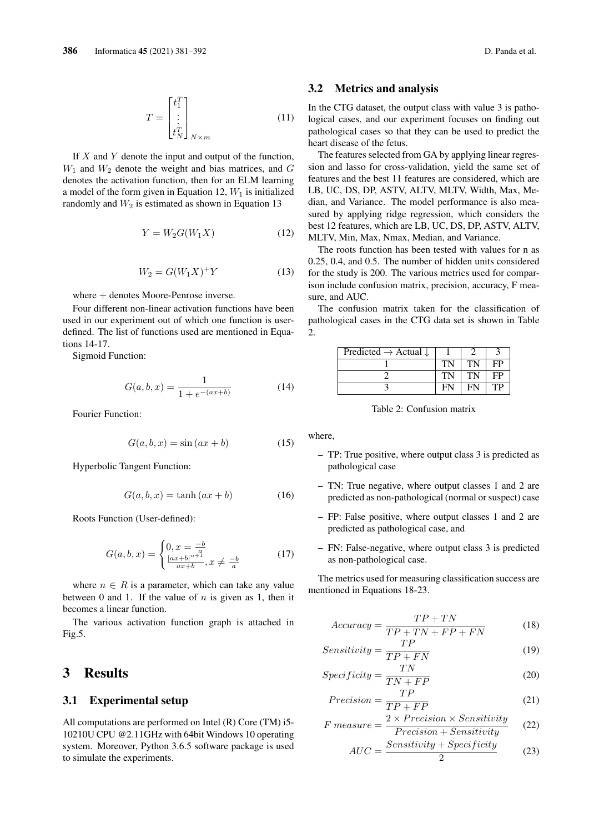$$
T = \begin{bmatrix} t_1^T \\ \vdots \\ t_N^T \end{bmatrix}_{N \times m} \tag{11}
$$

If  $X$  and  $Y$  denote the input and output of the function,  $W_1$  and  $W_2$  denote the weight and bias matrices, and G denotes the activation function, then for an ELM learning a model of the form given in Equation 12,  $W_1$  is initialized randomly and  $W_2$  is estimated as shown in Equation 13

$$
Y = W_2 G(W_1 X) \tag{12}
$$

$$
W_2 = G(W_1 X)^+ Y \tag{13}
$$

where  $+$  denotes Moore-Penrose inverse.

Four different non-linear activation functions have been used in our experiment out of which one function is userdefined. The list of functions used are mentioned in Equations 14-17.

Sigmoid Function:

$$
G(a, b, x) = \frac{1}{1 + e^{-(ax+b)}}
$$
 (14)

Fourier Function:

$$
G(a, b, x) = \sin(ax + b)
$$
 (15)

Hyperbolic Tangent Function:

$$
G(a, b, x) = \tanh(ax + b)
$$
 (16)

Roots Function (User-defined):

$$
G(a, b, x) = \begin{cases} 0, x = \frac{-b}{a} \\ \frac{|ax + b|^{n+1}}{ax + b}, x \neq \frac{-b}{a} \end{cases}
$$
(17)

where  $n \in R$  is a parameter, which can take any value between 0 and 1. If the value of  $n$  is given as 1, then it becomes a linear function.

The various activation function graph is attached in Fig.5.

### 3 Results

#### 3.1 Experimental setup

All computations are performed on Intel (R) Core (TM) i5- 10210U CPU @2.11GHz with 64bit Windows 10 operating system. Moreover, Python 3.6.5 software package is used to simulate the experiments.

#### 3.2 Metrics and analysis

In the CTG dataset, the output class with value 3 is pathological cases, and our experiment focuses on finding out pathological cases so that they can be used to predict the heart disease of the fetus.

The features selected from GA by applying linear regression and lasso for cross-validation, yield the same set of features and the best 11 features are considered, which are LB, UC, DS, DP, ASTV, ALTV, MLTV, Width, Max, Median, and Variance. The model performance is also measured by applying ridge regression, which considers the best 12 features, which are LB, UC, DS, DP, ASTV, ALTV, MLTV, Min, Max, Nmax, Median, and Variance.

The roots function has been tested with values for n as 0.25, 0.4, and 0.5. The number of hidden units considered for the study is 200. The various metrics used for comparison include confusion matrix, precision, accuracy, F measure, and AUC.

The confusion matrix taken for the classification of pathological cases in the CTG data set is shown in Table  $\mathcal{D}$ 

| Predicted $\rightarrow$ Actual $\downarrow$ |    |    |
|---------------------------------------------|----|----|
|                                             | TN | FP |
|                                             | TN | FP |
|                                             |    | TP |

Table 2: Confusion matrix

where,

- TP: True positive, where output class 3 is predicted as pathological case
- TN: True negative, where output classes 1 and 2 are predicted as non-pathological (normal or suspect) case
- FP: False positive, where output classes 1 and 2 are predicted as pathological case, and
- FN: False-negative, where output class 3 is predicted as non-pathological case.

The metrics used for measuring classification success are mentioned in Equations 18-23.

$$
Accuracy = \frac{TP + TN}{TP + TN + FP + FN}
$$
 (18)

$$
Sensitivity = \frac{TP}{TP + FN}
$$
 (19)

$$
Specificity = \frac{TN}{TN + FP}
$$
 (20)

$$
Precision = \frac{TP}{TP + FP}
$$
 (21)

$$
F measure = \frac{2 \times Precision \times Sensitivity}{Precision + Sensitivity}
$$
 (22)

$$
AUC = \frac{Sensitivity + Specificity}{2}
$$
 (23)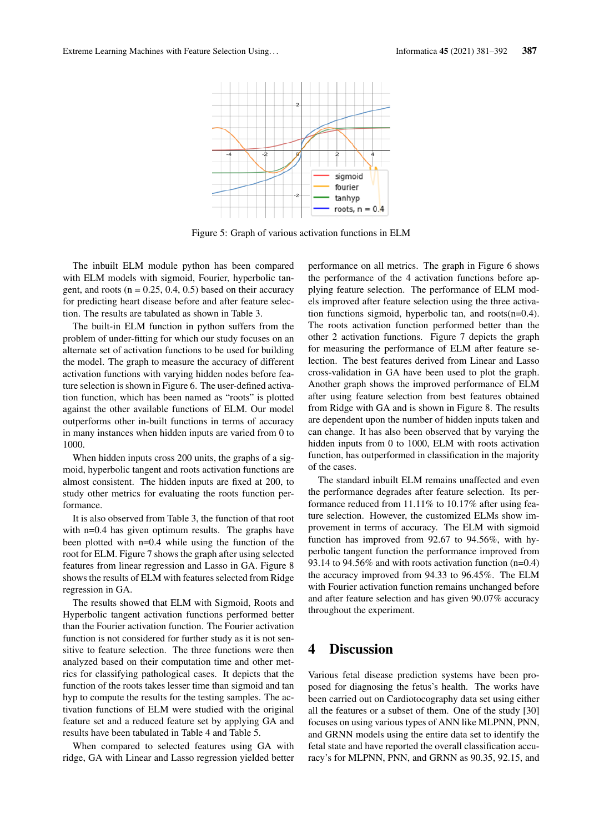

Figure 5: Graph of various activation functions in ELM

The inbuilt ELM module python has been compared with ELM models with sigmoid, Fourier, hyperbolic tangent, and roots ( $n = 0.25, 0.4, 0.5$ ) based on their accuracy for predicting heart disease before and after feature selection. The results are tabulated as shown in Table 3.

The built-in ELM function in python suffers from the problem of under-fitting for which our study focuses on an alternate set of activation functions to be used for building the model. The graph to measure the accuracy of different activation functions with varying hidden nodes before feature selection is shown in Figure 6. The user-defined activation function, which has been named as "roots" is plotted against the other available functions of ELM. Our model outperforms other in-built functions in terms of accuracy in many instances when hidden inputs are varied from 0 to 1000.

When hidden inputs cross 200 units, the graphs of a sigmoid, hyperbolic tangent and roots activation functions are almost consistent. The hidden inputs are fixed at 200, to study other metrics for evaluating the roots function performance.

It is also observed from Table 3, the function of that root with n=0.4 has given optimum results. The graphs have been plotted with n=0.4 while using the function of the root for ELM. Figure 7 shows the graph after using selected features from linear regression and Lasso in GA. Figure 8 shows the results of ELM with features selected from Ridge regression in GA.

The results showed that ELM with Sigmoid, Roots and Hyperbolic tangent activation functions performed better than the Fourier activation function. The Fourier activation function is not considered for further study as it is not sensitive to feature selection. The three functions were then analyzed based on their computation time and other metrics for classifying pathological cases. It depicts that the function of the roots takes lesser time than sigmoid and tan hyp to compute the results for the testing samples. The activation functions of ELM were studied with the original feature set and a reduced feature set by applying GA and results have been tabulated in Table 4 and Table 5.

When compared to selected features using GA with ridge, GA with Linear and Lasso regression yielded better performance on all metrics. The graph in Figure 6 shows the performance of the 4 activation functions before applying feature selection. The performance of ELM models improved after feature selection using the three activation functions sigmoid, hyperbolic tan, and roots(n=0.4). The roots activation function performed better than the other 2 activation functions. Figure 7 depicts the graph for measuring the performance of ELM after feature selection. The best features derived from Linear and Lasso cross-validation in GA have been used to plot the graph. Another graph shows the improved performance of ELM after using feature selection from best features obtained from Ridge with GA and is shown in Figure 8. The results are dependent upon the number of hidden inputs taken and can change. It has also been observed that by varying the hidden inputs from 0 to 1000, ELM with roots activation function, has outperformed in classification in the majority of the cases.

The standard inbuilt ELM remains unaffected and even the performance degrades after feature selection. Its performance reduced from 11.11% to 10.17% after using feature selection. However, the customized ELMs show improvement in terms of accuracy. The ELM with sigmoid function has improved from 92.67 to 94.56%, with hyperbolic tangent function the performance improved from 93.14 to 94.56% and with roots activation function (n=0.4) the accuracy improved from 94.33 to 96.45%. The ELM with Fourier activation function remains unchanged before and after feature selection and has given 90.07% accuracy throughout the experiment.

# 4 Discussion

Various fetal disease prediction systems have been proposed for diagnosing the fetus's health. The works have been carried out on Cardiotocography data set using either all the features or a subset of them. One of the study [30] focuses on using various types of ANN like MLPNN, PNN, and GRNN models using the entire data set to identify the fetal state and have reported the overall classification accuracy's for MLPNN, PNN, and GRNN as 90.35, 92.15, and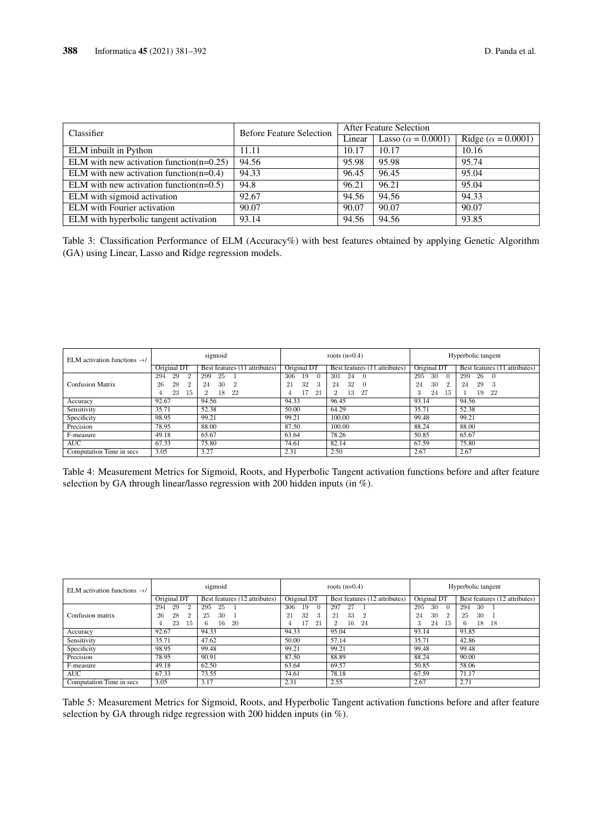| Classifier                                                   | <b>Before Feature Selection</b> | <b>After Feature Selection</b> |                            |                            |  |
|--------------------------------------------------------------|---------------------------------|--------------------------------|----------------------------|----------------------------|--|
|                                                              |                                 | Linear                         | Lasso ( $\alpha$ = 0.0001) | Ridge ( $\alpha$ = 0.0001) |  |
| ELM inbuilt in Python                                        | 11.11                           | 10.17                          | 10.17                      | 10.16                      |  |
| $\overline{\text{ELM with}}$ new activation function(n=0.25) | 94.56                           | 95.98                          | 95.98                      | 95.74                      |  |
| ELM with new activation function( $n=0.4$ )                  | 94.33                           | 96.45                          | 96.45                      | 95.04                      |  |
| ELM with new activation function( $n=0.5$ )                  | 94.8                            | 96.21                          | 96.21                      | 95.04                      |  |
| ELM with sigmoid activation                                  | 92.67                           | 94.56                          | 94.56                      | 94.33                      |  |
| <b>ELM</b> with Fourier activation                           | 90.07                           | 90.07                          | 90.07                      | 90.07                      |  |
| ELM with hyperbolic tangent activation                       | 93.14                           | 94.56                          | 94.56                      | 93.85                      |  |

Table 3: Classification Performance of ELM (Accuracy%) with best features obtained by applying Genetic Algorithm (GA) using Linear, Lasso and Ridge regression models.

| ELM activation functions $\rightarrow$ / | sigmoid       |                               |                       | roots $(n=0.4)$               | Hyperbolic tangent     |                               |
|------------------------------------------|---------------|-------------------------------|-----------------------|-------------------------------|------------------------|-------------------------------|
|                                          | Original DT   | Best features (11 attributes) | Original DT           | Best features (11 attributes) | Original DT            | Best features (11 attributes) |
|                                          | 29<br>294     | 25<br>299                     | 306<br>19<br>$\Omega$ | 24<br>301<br>$\Omega$         | -30<br>295<br>$\Omega$ | 26<br>299<br>- 0              |
| <b>Confusion Matrix</b>                  | 28<br>26<br>2 | 30<br>24<br>$\overline{2}$    | 32<br>21<br>3         | 32<br>24<br>$\Omega$          | 30<br>24<br>2          | 29<br>24<br>-3                |
|                                          | 23<br>15      | 18<br>22<br>$\overline{2}$    | 21                    | 13<br>27                      | 24<br>15               | 19<br>22                      |
| Accuracy                                 | 92.67         | 94.56                         | 94.33                 | 96.45                         | 93.14                  | 94.56                         |
| Sensitivity                              | 35.71         | 52.38                         | 50.00                 | 64.29                         | 35.71                  | 52.38                         |
| Specificity                              | 98.95         | 99.21                         | 99.21                 | 100.00                        | 99.48                  | 99.21                         |
| Precision                                | 78.95         | 88.00                         | 87.50                 | 100.00                        | 88.24                  | 88.00                         |
| F-measure                                | 49.18         | 65.67                         | 63.64                 | 78.26                         | 50.85                  | 65.67                         |
| AUC                                      | 67.33         | 75.80                         | 74.61                 | 82.14                         | 67.59                  | 75.80                         |
| Computation Time in secs                 | 3.05          | 3.27                          | 2.31                  | 2.50                          | 2.67                   | 2.67                          |

Table 4: Measurement Metrics for Sigmoid, Roots, and Hyperbolic Tangent activation functions before and after feature selection by GA through linear/lasso regression with 200 hidden inputs (in %).

| ELM activation functions $\rightarrow$ / | sigmoid                                     |                                         |                                                    | roots $(n=0.4)$                                     | Hyperbolic tangent                                      |                                         |
|------------------------------------------|---------------------------------------------|-----------------------------------------|----------------------------------------------------|-----------------------------------------------------|---------------------------------------------------------|-----------------------------------------|
|                                          | Original DT                                 | Best features $(12 \text{ attributes})$ | Original DT                                        | Best features (12 attributes)                       | Original DT                                             | Best features (12 attributes)           |
| Confusion matrix                         | 29<br>2<br>294<br>28<br>26<br>2<br>23<br>15 | 295<br>25<br>30<br>-25<br>20<br>16<br>6 | 306<br>19<br>$\Omega$<br>32<br>21<br>3<br>17<br>21 | 297<br>27<br>33<br>21<br>$\overline{2}$<br>16<br>24 | 295<br>30<br>$\Omega$<br>30<br>24<br>2<br>3<br>24<br>15 | 30<br>294<br>30<br>25<br>18<br>18<br>6. |
| Accuracy                                 | 92.67                                       | 94.33                                   | 94.33                                              | 95.04                                               | 93.14                                                   | 93.85                                   |
| Sensitivity                              | 35.71                                       | 47.62                                   | 50.00                                              | 57.14                                               | 35.71                                                   | 42.86                                   |
| Specificity                              | 98.95                                       | 99.48                                   | 99.21                                              | 99.21                                               | 99.48                                                   | 99.48                                   |
| Precision                                | 78.95                                       | 90.91                                   | 87.50                                              | 88.89                                               | 88.24                                                   | 90.00                                   |
| F-measure                                | 49.18                                       | 62.50                                   | 63.64                                              | 69.57                                               | 50.85                                                   | 58.06                                   |
| <b>AUC</b>                               | 67.33                                       | 73.55                                   | 74.61                                              | 78.18                                               | 67.59                                                   | 71.17                                   |
| Computation Time in secs                 | 3.05                                        | 3.17                                    | 2.31                                               | 2.55                                                | 2.67                                                    | 2.71                                    |

Table 5: Measurement Metrics for Sigmoid, Roots, and Hyperbolic Tangent activation functions before and after feature selection by GA through ridge regression with 200 hidden inputs (in %).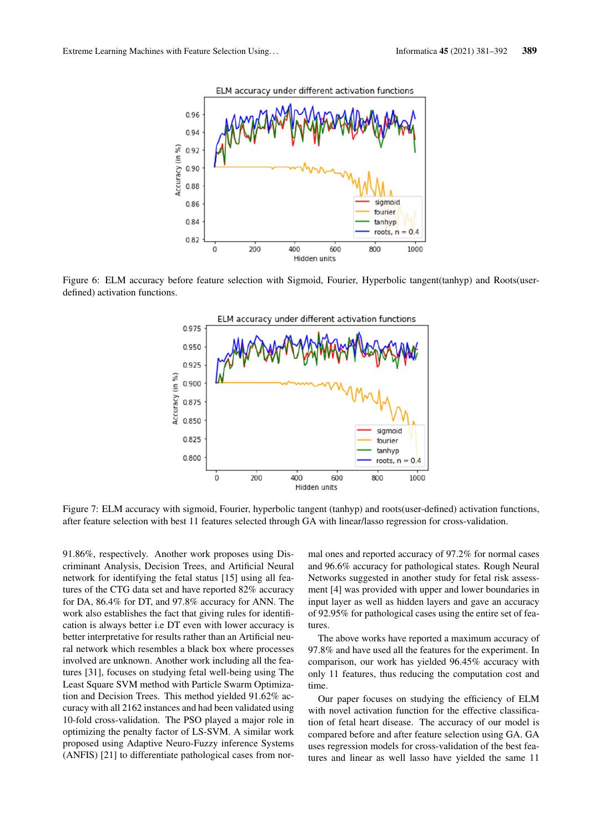

Figure 6: ELM accuracy before feature selection with Sigmoid, Fourier, Hyperbolic tangent(tanhyp) and Roots(userdefined) activation functions.



Figure 7: ELM accuracy with sigmoid, Fourier, hyperbolic tangent (tanhyp) and roots(user-defined) activation functions, after feature selection with best 11 features selected through GA with linear/lasso regression for cross-validation.

91.86%, respectively. Another work proposes using Discriminant Analysis, Decision Trees, and Artificial Neural network for identifying the fetal status [15] using all features of the CTG data set and have reported 82% accuracy for DA, 86.4% for DT, and 97.8% accuracy for ANN. The work also establishes the fact that giving rules for identification is always better i.e DT even with lower accuracy is better interpretative for results rather than an Artificial neural network which resembles a black box where processes involved are unknown. Another work including all the features [31], focuses on studying fetal well-being using The Least Square SVM method with Particle Swarm Optimization and Decision Trees. This method yielded 91.62% accuracy with all 2162 instances and had been validated using 10-fold cross-validation. The PSO played a major role in optimizing the penalty factor of LS-SVM. A similar work proposed using Adaptive Neuro-Fuzzy inference Systems (ANFIS) [21] to differentiate pathological cases from normal ones and reported accuracy of 97.2% for normal cases and 96.6% accuracy for pathological states. Rough Neural Networks suggested in another study for fetal risk assessment [4] was provided with upper and lower boundaries in input layer as well as hidden layers and gave an accuracy of 92.95% for pathological cases using the entire set of features.

The above works have reported a maximum accuracy of 97.8% and have used all the features for the experiment. In comparison, our work has yielded 96.45% accuracy with only 11 features, thus reducing the computation cost and time.

Our paper focuses on studying the efficiency of ELM with novel activation function for the effective classification of fetal heart disease. The accuracy of our model is compared before and after feature selection using GA. GA uses regression models for cross-validation of the best features and linear as well lasso have yielded the same 11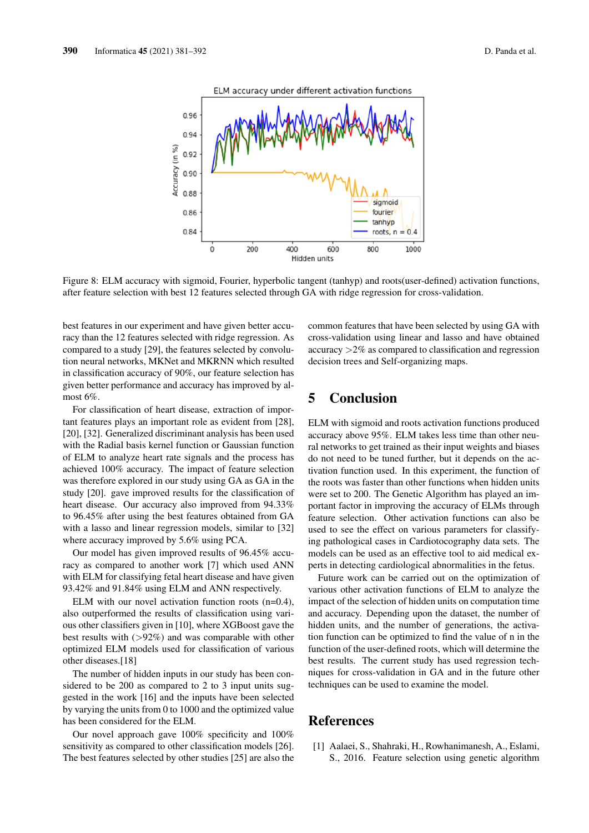

Figure 8: ELM accuracy with sigmoid, Fourier, hyperbolic tangent (tanhyp) and roots(user-defined) activation functions, after feature selection with best 12 features selected through GA with ridge regression for cross-validation.

best features in our experiment and have given better accuracy than the 12 features selected with ridge regression. As compared to a study [29], the features selected by convolution neural networks, MKNet and MKRNN which resulted in classification accuracy of 90%, our feature selection has given better performance and accuracy has improved by almost 6%.

For classification of heart disease, extraction of important features plays an important role as evident from [28], [20], [32]. Generalized discriminant analysis has been used with the Radial basis kernel function or Gaussian function of ELM to analyze heart rate signals and the process has achieved 100% accuracy. The impact of feature selection was therefore explored in our study using GA as GA in the study [20]. gave improved results for the classification of heart disease. Our accuracy also improved from 94.33% to 96.45% after using the best features obtained from GA with a lasso and linear regression models, similar to [32] where accuracy improved by 5.6% using PCA.

Our model has given improved results of 96.45% accuracy as compared to another work [7] which used ANN with ELM for classifying fetal heart disease and have given 93.42% and 91.84% using ELM and ANN respectively.

ELM with our novel activation function roots (n=0.4), also outperformed the results of classification using various other classifiers given in [10], where XGBoost gave the best results with  $(>\!\!92\%)$  and was comparable with other optimized ELM models used for classification of various other diseases.[18]

The number of hidden inputs in our study has been considered to be 200 as compared to 2 to 3 input units suggested in the work [16] and the inputs have been selected by varying the units from 0 to 1000 and the optimized value has been considered for the ELM.

Our novel approach gave 100% specificity and 100% sensitivity as compared to other classification models [26]. The best features selected by other studies [25] are also the common features that have been selected by using GA with cross-validation using linear and lasso and have obtained accuracy >2% as compared to classification and regression decision trees and Self-organizing maps.

# 5 Conclusion

ELM with sigmoid and roots activation functions produced accuracy above 95%. ELM takes less time than other neural networks to get trained as their input weights and biases do not need to be tuned further, but it depends on the activation function used. In this experiment, the function of the roots was faster than other functions when hidden units were set to 200. The Genetic Algorithm has played an important factor in improving the accuracy of ELMs through feature selection. Other activation functions can also be used to see the effect on various parameters for classifying pathological cases in Cardiotocography data sets. The models can be used as an effective tool to aid medical experts in detecting cardiological abnormalities in the fetus.

Future work can be carried out on the optimization of various other activation functions of ELM to analyze the impact of the selection of hidden units on computation time and accuracy. Depending upon the dataset, the number of hidden units, and the number of generations, the activation function can be optimized to find the value of n in the function of the user-defined roots, which will determine the best results. The current study has used regression techniques for cross-validation in GA and in the future other techniques can be used to examine the model.

# References

[1] Aalaei, S., Shahraki, H., Rowhanimanesh, A., Eslami, S., 2016. Feature selection using genetic algorithm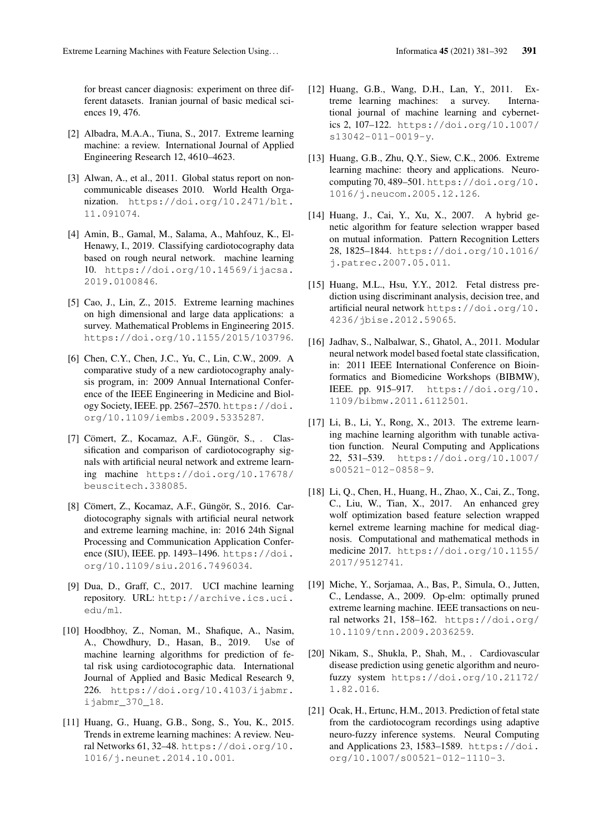for breast cancer diagnosis: experiment on three different datasets. Iranian journal of basic medical sciences 19, 476.

- [2] Albadra, M.A.A., Tiuna, S., 2017. Extreme learning machine: a review. International Journal of Applied Engineering Research 12, 4610–4623.
- [3] Alwan, A., et al., 2011. Global status report on noncommunicable diseases 2010. World Health Organization. https://doi.org/10.2471/blt. 11.091074.
- [4] Amin, B., Gamal, M., Salama, A., Mahfouz, K., El-Henawy, I., 2019. Classifying cardiotocography data based on rough neural network. machine learning 10. https://doi.org/10.14569/ijacsa. 2019.0100846.
- [5] Cao, J., Lin, Z., 2015. Extreme learning machines on high dimensional and large data applications: a survey. Mathematical Problems in Engineering 2015. https://doi.org/10.1155/2015/103796.
- [6] Chen, C.Y., Chen, J.C., Yu, C., Lin, C.W., 2009. A comparative study of a new cardiotocography analysis program, in: 2009 Annual International Conference of the IEEE Engineering in Medicine and Biology Society, IEEE. pp. 2567-2570. https://doi. org/10.1109/iembs.2009.5335287.
- [7] Cömert, Z., Kocamaz, A.F., Güngör, S., . Classification and comparison of cardiotocography signals with artificial neural network and extreme learning machine https://doi.org/10.17678/ beuscitech.338085.
- [8] Cömert, Z., Kocamaz, A.F., Güngör, S., 2016. Cardiotocography signals with artificial neural network and extreme learning machine, in: 2016 24th Signal Processing and Communication Application Conference (SIU), IEEE. pp. 1493–1496. https://doi. org/10.1109/siu.2016.7496034.
- [9] Dua, D., Graff, C., 2017. UCI machine learning repository. URL: http://archive.ics.uci. edu/ml.
- [10] Hoodbhoy, Z., Noman, M., Shafique, A., Nasim, A., Chowdhury, D., Hasan, B., 2019. Use of machine learning algorithms for prediction of fetal risk using cardiotocographic data. International Journal of Applied and Basic Medical Research 9, 226. https://doi.org/10.4103/ijabmr. ijabmr\_370\_18.
- [11] Huang, G., Huang, G.B., Song, S., You, K., 2015. Trends in extreme learning machines: A review. Neural Networks 61, 32–48. https://doi.org/10. 1016/j.neunet.2014.10.001.
- [12] Huang, G.B., Wang, D.H., Lan, Y., 2011. Extreme learning machines: a survey. International journal of machine learning and cybernetics 2, 107–122. https://doi.org/10.1007/ s13042-011-0019-y.
- [13] Huang, G.B., Zhu, Q.Y., Siew, C.K., 2006. Extreme learning machine: theory and applications. Neurocomputing 70, 489–501. https://doi.org/10. 1016/j.neucom.2005.12.126.
- [14] Huang, J., Cai, Y., Xu, X., 2007. A hybrid genetic algorithm for feature selection wrapper based on mutual information. Pattern Recognition Letters 28, 1825–1844. https://doi.org/10.1016/ j.patrec.2007.05.011.
- [15] Huang, M.L., Hsu, Y.Y., 2012. Fetal distress prediction using discriminant analysis, decision tree, and artificial neural network https://doi.org/10. 4236/jbise.2012.59065.
- [16] Jadhav, S., Nalbalwar, S., Ghatol, A., 2011. Modular neural network model based foetal state classification, in: 2011 IEEE International Conference on Bioinformatics and Biomedicine Workshops (BIBMW), IEEE. pp. 915–917. https://doi.org/10. 1109/bibmw.2011.6112501.
- [17] Li, B., Li, Y., Rong, X., 2013. The extreme learning machine learning algorithm with tunable activation function. Neural Computing and Applications 22, 531–539. https://doi.org/10.1007/ s00521-012-0858-9.
- [18] Li, Q., Chen, H., Huang, H., Zhao, X., Cai, Z., Tong, C., Liu, W., Tian, X., 2017. An enhanced grey wolf optimization based feature selection wrapped kernel extreme learning machine for medical diagnosis. Computational and mathematical methods in medicine 2017. https://doi.org/10.1155/ 2017/9512741.
- [19] Miche, Y., Sorjamaa, A., Bas, P., Simula, O., Jutten, C., Lendasse, A., 2009. Op-elm: optimally pruned extreme learning machine. IEEE transactions on neural networks 21, 158–162. https://doi.org/ 10.1109/tnn.2009.2036259.
- [20] Nikam, S., Shukla, P., Shah, M., . Cardiovascular disease prediction using genetic algorithm and neurofuzzy system https://doi.org/10.21172/ 1.82.016.
- [21] Ocak, H., Ertunc, H.M., 2013. Prediction of fetal state from the cardiotocogram recordings using adaptive neuro-fuzzy inference systems. Neural Computing and Applications 23, 1583–1589. https://doi. org/10.1007/s00521-012-1110-3.